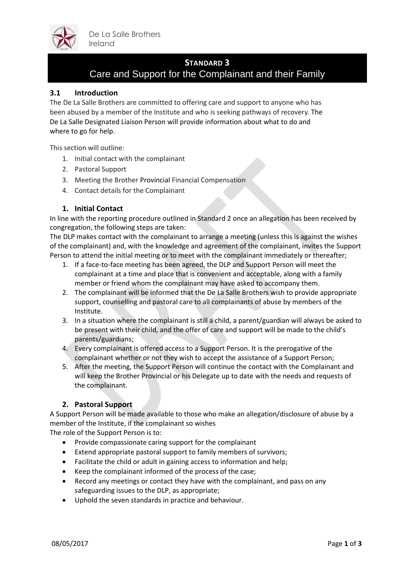

## **STANDARD 3**

# Care and Support for the Complainant and their Family

## **3.1 Introduction**

The De La Salle Brothers are committed to offering care and support to anyone who has been abused by a member of the Institute and who is seeking pathways of recovery. The De La Salle Designated Liaison Person will provide information about what to do and where to go for help.

This section will outline:

- 1. Initial contact with the complainant
- 2. Pastoral Support
- 3. Meeting the Brother Provincial Financial Compensation
- 4. Contact details for the Complainant

### **1. Initial Contact**

In line with the reporting procedure outlined in Standard 2 once an allegation has been received by congregation, the following steps are taken:

The DLP makes contact with the complainant to arrange a meeting (unless this is against the wishes of the complainant) and, with the knowledge and agreement of the complainant, invites the Support Person to attend the initial meeting or to meet with the complainant immediately or thereafter;

- 1. If a face-to-face meeting has been agreed, the DLP and Support Person will meet the complainant at a time and place that is convenient and acceptable, along with a family member or friend whom the complainant may have asked to accompany them.
- 2. The complainant will be informed that the De La Salle Brothers wish to provide appropriate support, counselling and pastoral care to all complainants of abuse by members of the Institute.
- 3. In a situation where the complainant is still a child, a parent/guardian will always be asked to be present with their child, and the offer of care and support will be made to the child's parents/guardians;
- 4. Every complainant is offered access to a Support Person. It is the prerogative of the complainant whether or not they wish to accept the assistance of a Support Person;
- 5. After the meeting, the Support Person will continue the contact with the Complainant and will keep the Brother Provincial or his Delegate up to date with the needs and requests of the complainant.

## **2. Pastoral Support**

A Support Person will be made available to those who make an allegation/disclosure of abuse by a member of the Institute, if the complainant so wishes

The role of the Support Person is to:

- Provide compassionate caring support for the complainant
- Extend appropriate pastoral support to family members of survivors;
- Facilitate the child or adult in gaining access to information and help;
- Keep the complainant informed of the process of the case;
- Record any meetings or contact they have with the complainant, and pass on any safeguarding issues to the DLP, as appropriate;
- Uphold the seven standards in practice and behaviour.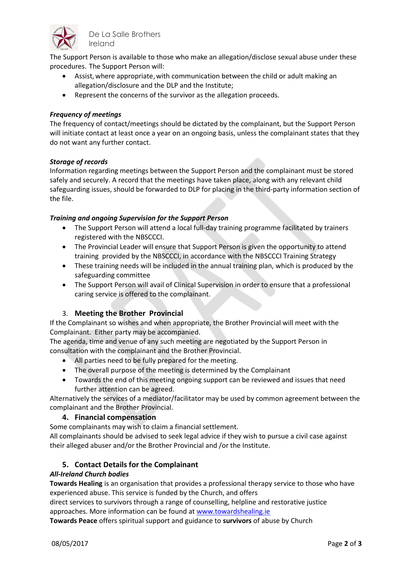

De La Salle Brothers Ireland

The Support Person is available to those who make an allegation/disclose sexual abuse under these procedures. The Support Person will:

- Assist, where appropriate, with communication between the child or adult making an allegation/disclosure and the DLP and the Institute;
- Represent the concerns of the survivor as the allegation proceeds.

## *Frequency of meetings*

The frequency of contact/meetings should be dictated by the complainant, but the Support Person will initiate contact at least once a year on an ongoing basis, unless the complainant states that they do not want any further contact.

#### *Storage of records*

Information regarding meetings between the Support Person and the complainant must be stored safely and securely. A record that the meetings have taken place, along with any relevant child safeguarding issues, should be forwarded to DLP for placing in the third-party information section of the file.

### *Training and ongoing Supervision for the Support Person*

- The Support Person will attend a local full-day training programme facilitated by trainers registered with the NBSCCCI.
- The Provincial Leader will ensure that Support Person is given the opportunity to attend training provided by the NBSCCCI, in accordance with the NBSCCCI Training Strategy
- These training needs will be included in the annual training plan, which is produced by the safeguarding committee
- The Support Person will avail of Clinical Supervision in order to ensure that a professional caring service is offered to the complainant.

## 3. **Meeting the Brother Provincial**

If the Complainant so wishes and when appropriate, the Brother Provincial will meet with the Complainant. Either party may be accompanied.

The agenda, time and venue of any such meeting are negotiated by the Support Person in consultation with the complainant and the Brother Provincial.

- All parties need to be fully prepared for the meeting.
- The overall purpose of the meeting is determined by the Complainant
- Towards the end of this meeting ongoing support can be reviewed and issues that need further attention can be agreed.

Alternatively the services of a mediator/facilitator may be used by common agreement between the complainant and the Brother Provincial.

#### **4. Financial compensation**

Some complainants may wish to claim a financial settlement.

All complainants should be advised to seek legal advice if they wish to pursue a civil case against their alleged abuser and/or the Brother Provincial and /or the Institute.

## **5. Contact Details for the Complainant**

#### *All-Ireland Church bodies*

**Towards Healing** is an organisation that provides a professional therapy service to those who have experienced abuse. This service is funded by the Church, and offers

direct services to survivors through a range of counselling, helpline and restorative justice approaches. More information can be found at [www.towardshealing.ie](http://www.towardshealing.ie/)

**Towards Peace** offers spiritual support and guidance to **survivors** of abuse by Church